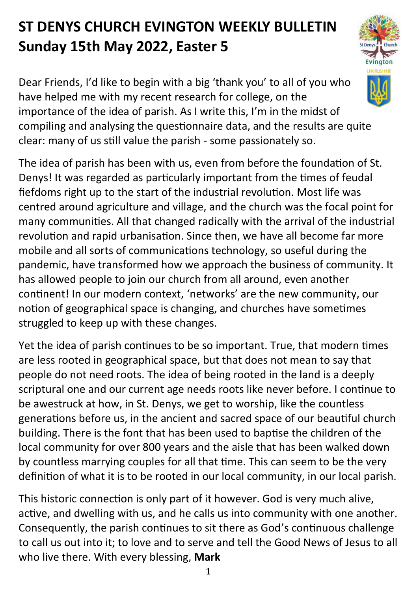## **ST DENYS CHURCH EVINGTON WEEKLY BULLETIN Sunday 15th May 2022, Easter 5**

Dear Friends, I'd like to begin with a big 'thank you' to all of you who have helped me with my recent research for college, on the importance of the idea of parish. As I write this, I'm in the midst of compiling and analysing the questionnaire data, and the results are quite clear: many of us still value the parish - some passionately so.

The idea of parish has been with us, even from before the foundation of St. Denys! It was regarded as particularly important from the times of feudal fiefdoms right up to the start of the industrial revolution. Most life was centred around agriculture and village, and the church was the focal point for many communities. All that changed radically with the arrival of the industrial revolution and rapid urbanisation. Since then, we have all become far more mobile and all sorts of communications technology, so useful during the pandemic, have transformed how we approach the business of community. It has allowed people to join our church from all around, even another continent! In our modern context, 'networks' are the new community, our notion of geographical space is changing, and churches have sometimes struggled to keep up with these changes.

Yet the idea of parish continues to be so important. True, that modern times are less rooted in geographical space, but that does not mean to say that people do not need roots. The idea of being rooted in the land is a deeply scriptural one and our current age needs roots like never before. I continue to be awestruck at how, in St. Denys, we get to worship, like the countless generations before us, in the ancient and sacred space of our beautiful church building. There is the font that has been used to baptise the children of the local community for over 800 years and the aisle that has been walked down by countless marrying couples for all that time. This can seem to be the very definition of what it is to be rooted in our local community, in our local parish.

This historic connection is only part of it however. God is very much alive, active, and dwelling with us, and he calls us into community with one another. Consequently, the parish continues to sit there as God's continuous challenge to call us out into it; to love and to serve and tell the Good News of Jesus to all who live there. With every blessing, **Mark**

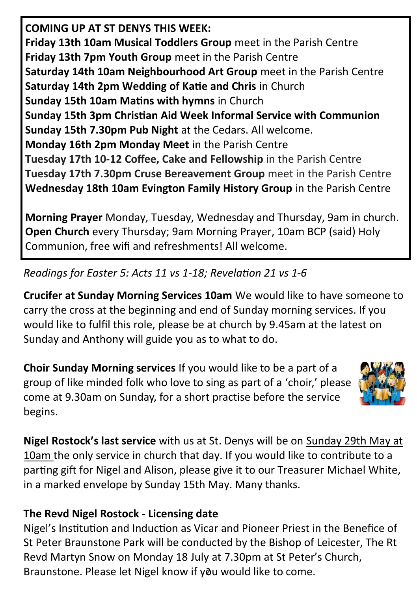**COMING UP AT ST DENYS THIS WEEK: Friday 13th 10am Musical Toddlers Group** meet in the Parish Centre **Friday 13th 7pm Youth Group** meet in the Parish Centre **Saturday 14th 10am Neighbourhood Art Group** meet in the Parish Centre **Saturday 14th 2pm Wedding of Katie and Chris** in Church **Sunday 15th 10am Matins with hymns** in Church **Sunday 15th 3pm Christian Aid Week Informal Service with Communion Sunday 15th 7.30pm Pub Night** at the Cedars. All welcome. **Monday 16th 2pm Monday Meet** in the Parish Centre **Tuesday 17th 10-12 Coffee, Cake and Fellowship** in the Parish Centre **Tuesday 17th 7.30pm Cruse Bereavement Group** meet in the Parish Centre **Wednesday 18th 10am Evington Family History Group** in the Parish Centre

**Morning Prayer** Monday, Tuesday, Wednesday and Thursday, 9am in church. **Open Church** every Thursday; 9am Morning Prayer, 10am BCP (said) Holy Communion, free wifi and refreshments! All welcome.

*Readings for Easter 5: Acts 11 vs 1-18; Revelation 21 vs 1-6*

**Crucifer at Sunday Morning Services 10am** We would like to have someone to carry the cross at the beginning and end of Sunday morning services. If you would like to fulfil this role, please be at church by 9.45am at the latest on Sunday and Anthony will guide you as to what to do.

**Choir Sunday Morning services** If you would like to be a part of a group of like minded folk who love to sing as part of a 'choir,' please come at 9.30am on Sunday, for a short practise before the service begins.



**Nigel Rostock's last service** with us at St. Denys will be on Sunday 29th May at 10am the only service in church that day. If you would like to contribute to a parting gift for Nigel and Alison, please give it to our Treasurer Michael White, in a marked envelope by Sunday 15th May. Many thanks.

## **The Revd Nigel Rostock - Licensing date**

Braunstone. Please let Nigel know if you would like to come. Nigel's Institution and Induction as Vicar and Pioneer Priest in the Benefice of St Peter Braunstone Park will be conducted by the Bishop of Leicester, The Rt Revd Martyn Snow on Monday 18 July at 7.30pm at St Peter's Church,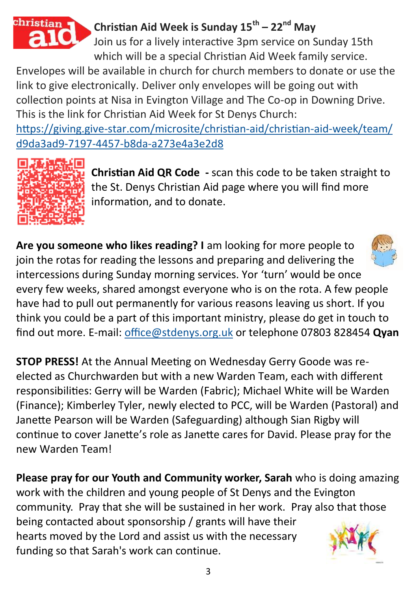

## **Christian Aid Week is Sunday 15th – 22nd May**

Join us for a lively interactive 3pm service on Sunday 15th which will be a special Christian Aid Week family service.

Envelopes will be available in church for church members to donate or use the link to give electronically. Deliver only envelopes will be going out with collection points at Nisa in Evington Village and The Co-op in Downing Drive. This is the link for Christian Aid Week for St Denys Church:

https://giving.give-[star.com/microsite/christian](https://giving.give-star.com/microsite/christian-aid/christian-aid-week/team/d9da3ad9-7197-4457-b8da-a273e4a3e2d8)-aid/christian-aid-week/team/ d9da3ad9-7197-4457-b8da-[a273e4a3e2d8](https://giving.give-star.com/microsite/christian-aid/christian-aid-week/team/d9da3ad9-7197-4457-b8da-a273e4a3e2d8)



**Christian Aid QR Code -** scan this code to be taken straight to the St. Denys Christian Aid page where you will find more information, and to donate.

**Are you someone who likes reading? I** am looking for more people to join the rotas for reading the lessons and preparing and delivering the intercessions during Sunday morning services. Yor 'turn' would be once every few weeks, shared amongst everyone who is on the rota. A few people have had to pull out permanently for various reasons leaving us short. If you think you could be a part of this important ministry, please do get in touch to find out more. E-mail: [office@stdenys.org.uk](file:///C:/Users/offic.DESKTOP-1ISB6CK/OneDrive/Desktop/Documents/Bulletin) or telephone 07803 828454 **Qyan**

**STOP PRESS!** At the Annual Meeting on Wednesday Gerry Goode was reelected as Churchwarden but with a new Warden Team, each with different responsibilities: Gerry will be Warden (Fabric); Michael White will be Warden (Finance); Kimberley Tyler, newly elected to PCC, will be Warden (Pastoral) and Janette Pearson will be Warden (Safeguarding) although Sian Rigby will continue to cover Janette's role as Janette cares for David. Please pray for the new Warden Team!

**Please pray for our Youth and Community worker, Sarah** who is doing amazing work with the children and young people of St Denys and the Evington community. Pray that she will be sustained in her work. Pray also that those being contacted about sponsorship / grants will have their hearts moved by the Lord and assist us with the necessary funding so that Sarah's work can continue.